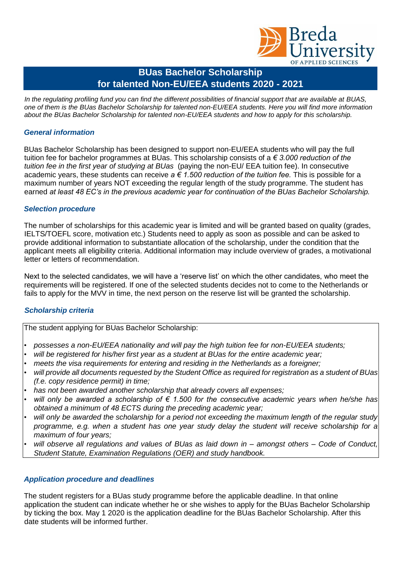

# **BUas Bachelor Scholarship for talented Non-EU/EEA students 2020 - 2021**

*In the regulating profiling fund you can find the different possibilities of financial support that are available at BUAS, one of them is the BUas Bachelor Scholarship for talented non-EU/EEA students. Here you will find more information about the BUas Bachelor Scholarship for talented non-EU/EEA students and how to apply for this scholarship.*

## *General information*

BUas Bachelor Scholarship has been designed to support non-EU/EEA students who will pay the full tuition fee for bachelor programmes at BUas. This scholarship consists of a *€ 3.000 reduction of the tuition fee in the first year of studying at BUas* (paying the non-EU/ EEA tuition fee). In consecutive academic years, these students can receive *a € 1.500 reduction of the tuition fee.* This is possible for a maximum number of years NOT exceeding the regular length of the study programme. The student has earned *at least 48 EC's in the previous academic year for continuation of the BUas Bachelor Scholarship.*

## *Selection procedure*

The number of scholarships for this academic year is limited and will be granted based on quality (grades, IELTS/TOEFL score, motivation etc.) Students need to apply as soon as possible and can be asked to provide additional information to substantiate allocation of the scholarship, under the condition that the applicant meets all eligibility criteria. Additional information may include overview of grades, a motivational letter or letters of recommendation.

Next to the selected candidates, we will have a 'reserve list' on which the other candidates, who meet the requirements will be registered. If one of the selected students decides not to come to the Netherlands or fails to apply for the MVV in time, the next person on the reserve list will be granted the scholarship.

#### *Scholarship criteria*

The student applying for BUas Bachelor Scholarship:

- *possesses a non-EU/EEA nationality and will pay the high tuition fee for non-EU/EEA students;*
- *will be registered for his/her first year as a student at BUas for the entire academic year;*
- *meets the visa requirements for entering and residing in the Netherlands as a foreigner;*
- *will provide all documents requested by the Student Office as required for registration as a student of BUas (f.e. copy residence permit) in time;*
- *has not been awarded another scholarship that already covers all expenses;*
- *will only be awarded a scholarship of € 1.500 for the consecutive academic years when he/she has obtained a minimum of 48 ECTS during the preceding academic year;*
- *will only be awarded the scholarship for a period not exceeding the maximum length of the regular study programme, e.g. when a student has one year study delay the student will receive scholarship for a maximum of four years;*
- *will observe all regulations and values of BUas as laid down in – amongst others – Code of Conduct, Student Statute, Examination Regulations (OER) and study handbook.*

#### *Application procedure and deadlines*

The student registers for a BUas study programme before the applicable deadline. In that online application the student can indicate whether he or she wishes to apply for the BUas Bachelor Scholarship by ticking the box. May 1 2020 is the application deadline for the BUas Bachelor Scholarship. After this date students will be informed further.